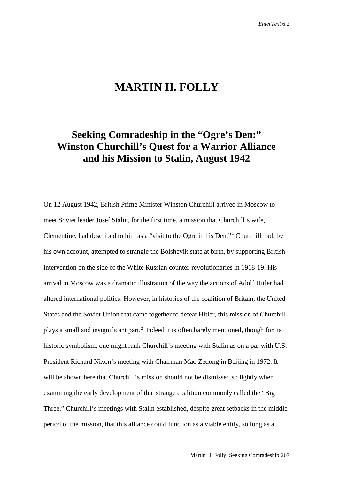## **MARTIN H. FOLLY**

## **Seeking Comradeship in the "Ogre's Den:" Winston Churchill's Quest for a Warrior Alliance and his Mission to Stalin, August 1942**

On 12 August 1942, British Prime Minister Winston Churchill arrived in Moscow to meet Soviet leader Josef Stalin, for the first time, a mission that Churchill's wife, Clementine, had described to him as a "visit to the Ogre in his Den."[1](#page-31-0) Churchill had, by his own account, attempted to strangle the Bolshevik state at birth, by supporting British intervention on the side of the White Russian counter-revolutionaries in 1918-19. His arrival in Moscow was a dramatic illustration of the way the actions of Adolf Hitler had altered international politics. However, in histories of the coalition of Britain, the United States and the Soviet Union that came together to defeat Hitler, this mission of Churchill plays a small and insignificant part.[2](#page-31-1) Indeed it is often barely mentioned, though for its historic symbolism, one might rank Churchill's meeting with Stalin as on a par with U.S. President Richard Nixon's meeting with Chairman Mao Zedong in Beijing in 1972. It will be shown here that Churchill's mission should not be dismissed so lightly when examining the early development of that strange coalition commonly called the "Big Three." Churchill's meetings with Stalin established, despite great setbacks in the middle period of the mission, that this alliance could function as a viable entity, so long as all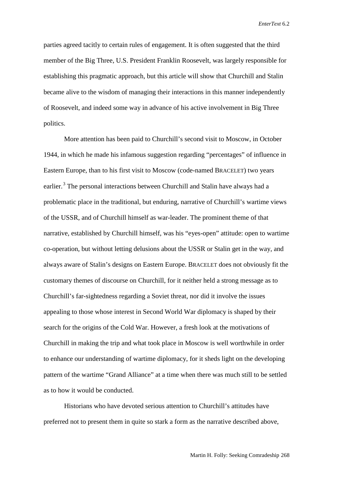parties agreed tacitly to certain rules of engagement. It is often suggested that the third member of the Big Three, U.S. President Franklin Roosevelt, was largely responsible for establishing this pragmatic approach, but this article will show that Churchill and Stalin became alive to the wisdom of managing their interactions in this manner independently of Roosevelt, and indeed some way in advance of his active involvement in Big Three politics.

More attention has been paid to Churchill's second visit to Moscow, in October 1944, in which he made his infamous suggestion regarding "percentages" of influence in Eastern Europe, than to his first visit to Moscow (code-named BRACELET) two years earlier.<sup>[3](#page-32-0)</sup> The personal interactions between Churchill and Stalin have always had a problematic place in the traditional, but enduring, narrative of Churchill's wartime views of the USSR, and of Churchill himself as war-leader. The prominent theme of that narrative, established by Churchill himself, was his "eyes-open" attitude: open to wartime co-operation, but without letting delusions about the USSR or Stalin get in the way, and always aware of Stalin's designs on Eastern Europe. BRACELET does not obviously fit the customary themes of discourse on Churchill, for it neither held a strong message as to Churchill's far-sightedness regarding a Soviet threat, nor did it involve the issues appealing to those whose interest in Second World War diplomacy is shaped by their search for the origins of the Cold War. However, a fresh look at the motivations of Churchill in making the trip and what took place in Moscow is well worthwhile in order to enhance our understanding of wartime diplomacy, for it sheds light on the developing pattern of the wartime "Grand Alliance" at a time when there was much still to be settled as to how it would be conducted.

Historians who have devoted serious attention to Churchill's attitudes have preferred not to present them in quite so stark a form as the narrative described above,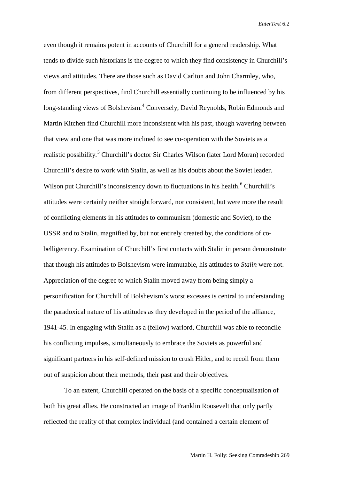even though it remains potent in accounts of Churchill for a general readership. What tends to divide such historians is the degree to which they find consistency in Churchill's views and attitudes. There are those such as David Carlton and John Charmley, who, from different perspectives, find Churchill essentially continuing to be influenced by his long-standing views of Bolshevism.<sup>[4](#page-33-0)</sup> Conversely, David Reynolds, Robin Edmonds and Martin Kitchen find Churchill more inconsistent with his past, though wavering between that view and one that was more inclined to see co-operation with the Soviets as a realistic possibility.<sup>[5](#page-33-1)</sup> Churchill's doctor Sir Charles Wilson (later Lord Moran) recorded Churchill's desire to work with Stalin, as well as his doubts about the Soviet leader. Wilson put Churchill's inconsistency down to fluctuations in his health.<sup>[6](#page-33-2)</sup> Churchill's attitudes were certainly neither straightforward, nor consistent, but were more the result of conflicting elements in his attitudes to communism (domestic and Soviet), to the USSR and to Stalin, magnified by, but not entirely created by, the conditions of cobelligerency. Examination of Churchill's first contacts with Stalin in person demonstrate that though his attitudes to Bolshevism were immutable, his attitudes to *Stalin* were not. Appreciation of the degree to which Stalin moved away from being simply a personification for Churchill of Bolshevism's worst excesses is central to understanding the paradoxical nature of his attitudes as they developed in the period of the alliance, 1941-45. In engaging with Stalin as a (fellow) warlord, Churchill was able to reconcile his conflicting impulses, simultaneously to embrace the Soviets as powerful and significant partners in his self-defined mission to crush Hitler, and to recoil from them out of suspicion about their methods, their past and their objectives.

To an extent, Churchill operated on the basis of a specific conceptualisation of both his great allies. He constructed an image of Franklin Roosevelt that only partly reflected the reality of that complex individual (and contained a certain element of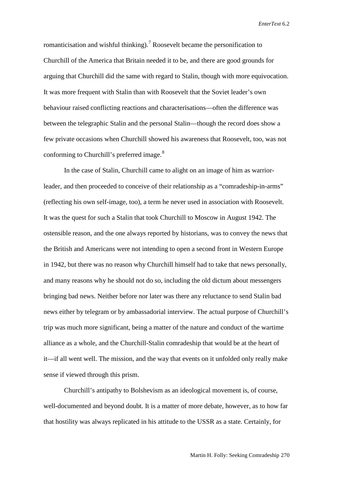romanticisation and wishful thinking).<sup>[7](#page-34-0)</sup> Roosevelt became the personification to Churchill of the America that Britain needed it to be, and there are good grounds for arguing that Churchill did the same with regard to Stalin, though with more equivocation. It was more frequent with Stalin than with Roosevelt that the Soviet leader's own behaviour raised conflicting reactions and characterisations—often the difference was between the telegraphic Stalin and the personal Stalin—though the record does show a few private occasions when Churchill showed his awareness that Roosevelt, too, was not conforming to Churchill's preferred image.<sup>[8](#page-34-1)</sup>

In the case of Stalin, Churchill came to alight on an image of him as warriorleader, and then proceeded to conceive of their relationship as a "comradeship-in-arms" (reflecting his own self-image, too), a term he never used in association with Roosevelt. It was the quest for such a Stalin that took Churchill to Moscow in August 1942. The ostensible reason, and the one always reported by historians, was to convey the news that the British and Americans were not intending to open a second front in Western Europe in 1942, but there was no reason why Churchill himself had to take that news personally, and many reasons why he should not do so, including the old dictum about messengers bringing bad news. Neither before nor later was there any reluctance to send Stalin bad news either by telegram or by ambassadorial interview. The actual purpose of Churchill's trip was much more significant, being a matter of the nature and conduct of the wartime alliance as a whole, and the Churchill-Stalin comradeship that would be at the heart of it—if all went well. The mission, and the way that events on it unfolded only really make sense if viewed through this prism.

Churchill's antipathy to Bolshevism as an ideological movement is, of course, well-documented and beyond doubt. It is a matter of more debate, however, as to how far that hostility was always replicated in his attitude to the USSR as a state. Certainly, for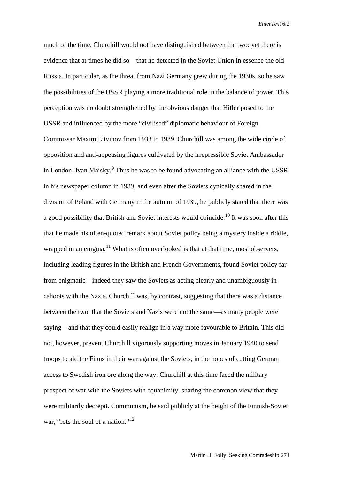much of the time, Churchill would not have distinguished between the two: yet there is evidence that at times he did so**—**that he detected in the Soviet Union in essence the old Russia. In particular, as the threat from Nazi Germany grew during the 1930s, so he saw the possibilities of the USSR playing a more traditional role in the balance of power. This perception was no doubt strengthened by the obvious danger that Hitler posed to the USSR and influenced by the more "civilised" diplomatic behaviour of Foreign Commissar Maxim Litvinov from 1933 to 1939. Churchill was among the wide circle of opposition and anti-appeasing figures cultivated by the irrepressible Soviet Ambassador in London, Ivan Maisky. $\degree$  Thus he was to be found advocating an alliance with the USSR in his newspaper column in 1939, and even after the Soviets cynically shared in the division of Poland with Germany in the autumn of 1939, he publicly stated that there was a good possibility that British and Soviet interests would coincide.<sup>[10](#page-34-3)</sup> It was soon after this that he made his often-quoted remark about Soviet policy being a mystery inside a riddle, wrapped in an enigma.<sup>[11](#page-34-4)</sup> What is often overlooked is that at that time, most observers, including leading figures in the British and French Governments, found Soviet policy far from enigmatic**—**indeed they saw the Soviets as acting clearly and unambiguously in cahoots with the Nazis. Churchill was, by contrast, suggesting that there was a distance between the two, that the Soviets and Nazis were not the same**—**as many people were saying**—**and that they could easily realign in a way more favourable to Britain. This did not, however, prevent Churchill vigorously supporting moves in January 1940 to send troops to aid the Finns in their war against the Soviets, in the hopes of cutting German access to Swedish iron ore along the way: Churchill at this time faced the military prospect of war with the Soviets with equanimity, sharing the common view that they were militarily decrepit. Communism, he said publicly at the height of the Finnish-Soviet war, "rots the soul of a nation."<sup>[12](#page-34-5)</sup>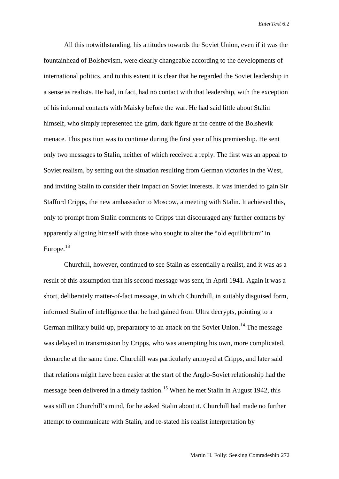All this notwithstanding, his attitudes towards the Soviet Union, even if it was the fountainhead of Bolshevism, were clearly changeable according to the developments of international politics, and to this extent it is clear that he regarded the Soviet leadership in a sense as realists. He had, in fact, had no contact with that leadership, with the exception of his informal contacts with Maisky before the war. He had said little about Stalin himself, who simply represented the grim, dark figure at the centre of the Bolshevik menace. This position was to continue during the first year of his premiership. He sent only two messages to Stalin, neither of which received a reply. The first was an appeal to Soviet realism, by setting out the situation resulting from German victories in the West, and inviting Stalin to consider their impact on Soviet interests. It was intended to gain Sir Stafford Cripps, the new ambassador to Moscow, a meeting with Stalin. It achieved this, only to prompt from Stalin comments to Cripps that discouraged any further contacts by apparently aligning himself with those who sought to alter the "old equilibrium" in Europe. $13$ 

Churchill, however, continued to see Stalin as essentially a realist, and it was as a result of this assumption that his second message was sent, in April 1941. Again it was a short, deliberately matter-of-fact message, in which Churchill, in suitably disguised form, informed Stalin of intelligence that he had gained from Ultra decrypts, pointing to a German military build-up, preparatory to an attack on the Soviet Union.<sup>[14](#page-35-1)</sup> The message was delayed in transmission by Cripps, who was attempting his own, more complicated, demarche at the same time. Churchill was particularly annoyed at Cripps, and later said that relations might have been easier at the start of the Anglo-Soviet relationship had the message been delivered in a timely fashion.<sup>[15](#page-35-2)</sup> When he met Stalin in August 1942, this was still on Churchill's mind, for he asked Stalin about it. Churchill had made no further attempt to communicate with Stalin, and re-stated his realist interpretation by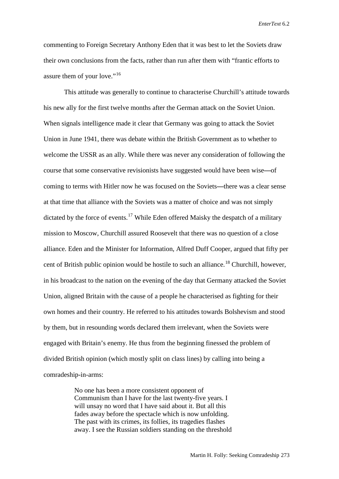commenting to Foreign Secretary Anthony Eden that it was best to let the Soviets draw their own conclusions from the facts, rather than run after them with "frantic efforts to assure them of your love."<sup>[16](#page-36-0)</sup>

This attitude was generally to continue to characterise Churchill's attitude towards his new ally for the first twelve months after the German attack on the Soviet Union. When signals intelligence made it clear that Germany was going to attack the Soviet Union in June 1941, there was debate within the British Government as to whether to welcome the USSR as an ally. While there was never any consideration of following the course that some conservative revisionists have suggested would have been wise**—**of coming to terms with Hitler now he was focused on the Soviets**—**there was a clear sense at that time that alliance with the Soviets was a matter of choice and was not simply dictated by the force of events.<sup>[17](#page-36-1)</sup> While Eden offered Maisky the despatch of a military mission to Moscow, Churchill assured Roosevelt that there was no question of a close alliance. Eden and the Minister for Information, Alfred Duff Cooper, argued that fifty per cent of British public opinion would be hostile to such an alliance.<sup>[18](#page-36-2)</sup> Churchill, however, in his broadcast to the nation on the evening of the day that Germany attacked the Soviet Union, aligned Britain with the cause of a people he characterised as fighting for their own homes and their country. He referred to his attitudes towards Bolshevism and stood by them, but in resounding words declared them irrelevant, when the Soviets were engaged with Britain's enemy. He thus from the beginning finessed the problem of divided British opinion (which mostly split on class lines) by calling into being a comradeship-in-arms:

> No one has been a more consistent opponent of Communism than I have for the last twenty-five years. I will unsay no word that I have said about it. But all this fades away before the spectacle which is now unfolding. The past with its crimes, its follies, its tragedies flashes away. I see the Russian soldiers standing on the threshold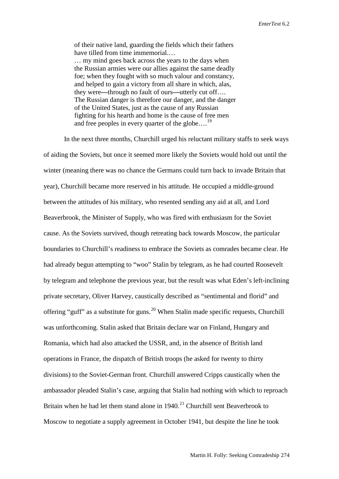of their native land, guarding the fields which their fathers have tilled from time immemorial.… … my mind goes back across the years to the days when the Russian armies were our allies against the same deadly foe; when they fought with so much valour and constancy, and helped to gain a victory from all share in which, alas, they were**—**through no fault of ours**—**utterly cut off…. The Russian danger is therefore our danger, and the danger of the United States, just as the cause of any Russian fighting for his hearth and home is the cause of free men and free peoples in every quarter of the globe.... $^{19}$  $^{19}$  $^{19}$ 

In the next three months, Churchill urged his reluctant military staffs to seek ways of aiding the Soviets, but once it seemed more likely the Soviets would hold out until the winter (meaning there was no chance the Germans could turn back to invade Britain that year), Churchill became more reserved in his attitude. He occupied a middle-ground between the attitudes of his military, who resented sending any aid at all, and Lord Beaverbrook, the Minister of Supply, who was fired with enthusiasm for the Soviet cause. As the Soviets survived, though retreating back towards Moscow, the particular boundaries to Churchill's readiness to embrace the Soviets as comrades became clear. He had already begun attempting to "woo" Stalin by telegram, as he had courted Roosevelt by telegram and telephone the previous year, but the result was what Eden's left-inclining private secretary, Oliver Harvey, caustically described as "sentimental and florid" and offering "guff" as a substitute for guns.[20](#page-36-4) When Stalin made specific requests, Churchill was unforthcoming. Stalin asked that Britain declare war on Finland, Hungary and Romania, which had also attacked the USSR, and, in the absence of British land operations in France, the dispatch of British troops (he asked for twenty to thirty divisions) to the Soviet-German front. Churchill answered Cripps caustically when the ambassador pleaded Stalin's case, arguing that Stalin had nothing with which to reproach Britain when he had let them stand alone in  $1940<sup>21</sup>$  $1940<sup>21</sup>$  $1940<sup>21</sup>$  Churchill sent Beaverbrook to Moscow to negotiate a supply agreement in October 1941, but despite the line he took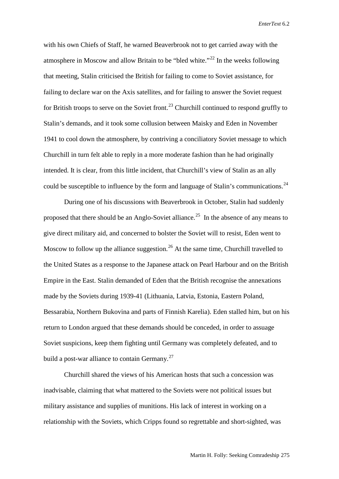with his own Chiefs of Staff, he warned Beaverbrook not to get carried away with the atmosphere in Moscow and allow Britain to be "bled white."<sup>[22](#page-36-6)</sup> In the weeks following that meeting, Stalin criticised the British for failing to come to Soviet assistance, for failing to declare war on the Axis satellites, and for failing to answer the Soviet request for British troops to serve on the Soviet front.<sup>[23](#page-36-7)</sup> Churchill continued to respond gruffly to Stalin's demands, and it took some collusion between Maisky and Eden in November 1941 to cool down the atmosphere, by contriving a conciliatory Soviet message to which Churchill in turn felt able to reply in a more moderate fashion than he had originally intended. It is clear, from this little incident, that Churchill's view of Stalin as an ally could be susceptible to influence by the form and language of Stalin's communications.<sup>[24](#page-36-8)</sup>

During one of his discussions with Beaverbrook in October, Stalin had suddenly proposed that there should be an Anglo-Soviet alliance.<sup>25</sup> In the absence of any means to give direct military aid, and concerned to bolster the Soviet will to resist, Eden went to Moscow to follow up the alliance suggestion.<sup>[26](#page-36-10)</sup> At the same time, Churchill travelled to the United States as a response to the Japanese attack on Pearl Harbour and on the British Empire in the East. Stalin demanded of Eden that the British recognise the annexations made by the Soviets during 1939-41 (Lithuania, Latvia, Estonia, Eastern Poland, Bessarabia, Northern Bukovina and parts of Finnish Karelia). Eden stalled him, but on his return to London argued that these demands should be conceded, in order to assuage Soviet suspicions, keep them fighting until Germany was completely defeated, and to build a post-war alliance to contain Germany.<sup>[27](#page-36-11)</sup>

Churchill shared the views of his American hosts that such a concession was inadvisable, claiming that what mattered to the Soviets were not political issues but military assistance and supplies of munitions. His lack of interest in working on a relationship with the Soviets, which Cripps found so regrettable and short-sighted, was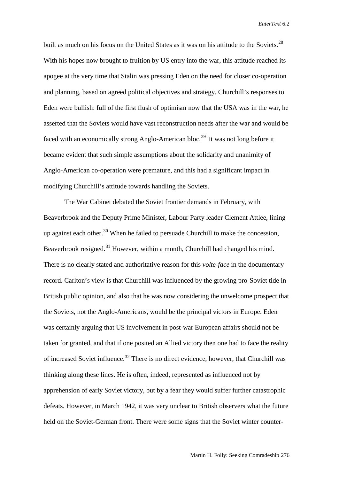built as much on his focus on the United States as it was on his attitude to the Soviets.<sup>[28](#page-36-12)</sup> With his hopes now brought to fruition by US entry into the war, this attitude reached its apogee at the very time that Stalin was pressing Eden on the need for closer co-operation and planning, based on agreed political objectives and strategy. Churchill's responses to Eden were bullish: full of the first flush of optimism now that the USA was in the war, he asserted that the Soviets would have vast reconstruction needs after the war and would be faced with an economically strong Anglo-American bloc.<sup>[29](#page-36-13)</sup> It was not long before it became evident that such simple assumptions about the solidarity and unanimity of Anglo-American co-operation were premature, and this had a significant impact in modifying Churchill's attitude towards handling the Soviets.

The War Cabinet debated the Soviet frontier demands in February, with Beaverbrook and the Deputy Prime Minister, Labour Party leader Clement Attlee, lining up against each other.<sup>[30](#page-36-14)</sup> When he failed to persuade Churchill to make the concession, Beaverbrook resigned.<sup>[31](#page-36-15)</sup> However, within a month, Churchill had changed his mind. There is no clearly stated and authoritative reason for this *volte-face* in the documentary record. Carlton's view is that Churchill was influenced by the growing pro-Soviet tide in British public opinion, and also that he was now considering the unwelcome prospect that the Soviets, not the Anglo-Americans, would be the principal victors in Europe. Eden was certainly arguing that US involvement in post-war European affairs should not be taken for granted, and that if one posited an Allied victory then one had to face the reality of increased Soviet influence.<sup>[32](#page-36-16)</sup> There is no direct evidence, however, that Churchill was thinking along these lines. He is often, indeed, represented as influenced not by apprehension of early Soviet victory, but by a fear they would suffer further catastrophic defeats. However, in March 1942, it was very unclear to British observers what the future held on the Soviet-German front. There were some signs that the Soviet winter counter-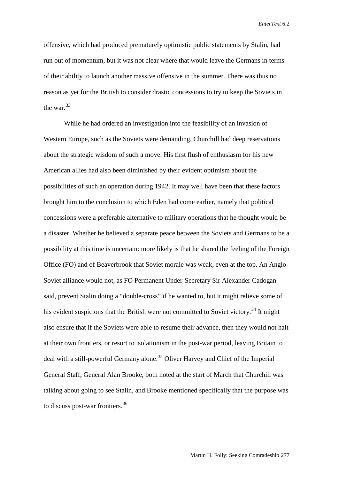offensive, which had produced prematurely optimistic public statements by Stalin, had run out of momentum, but it was not clear where that would leave the Germans in terms of their ability to launch another massive offensive in the summer. There was thus no reason as yet for the British to consider drastic concessions to try to keep the Soviets in the war.<sup>[33](#page-36-17)</sup>

While he had ordered an investigation into the feasibility of an invasion of Western Europe, such as the Soviets were demanding, Churchill had deep reservations about the strategic wisdom of such a move. His first flush of enthusiasm for his new American allies had also been diminished by their evident optimism about the possibilities of such an operation during 1942. It may well have been that these factors brought him to the conclusion to which Eden had come earlier, namely that political concessions were a preferable alternative to military operations that he thought would be a disaster. Whether he believed a separate peace between the Soviets and Germans to be a possibility at this time is uncertain: more likely is that he shared the feeling of the Foreign Office (FO) and of Beaverbrook that Soviet morale was weak, even at the top. An Anglo-Soviet alliance would not, as FO Permanent Under-Secretary Sir Alexander Cadogan said, prevent Stalin doing a "double-cross" if he wanted to, but it might relieve some of his evident suspicions that the British were not committed to Soviet victory.<sup>[34](#page-36-18)</sup> It might also ensure that if the Soviets were able to resume their advance, then they would not halt at their own frontiers, or resort to isolationism in the post-war period, leaving Britain to deal with a still-powerful Germany alone.<sup>[35](#page-36-2)</sup> Oliver Harvey and Chief of the Imperial General Staff, General Alan Brooke, both noted at the start of March that Churchill was talking about going to see Stalin, and Brooke mentioned specifically that the purpose was to discuss post-war frontiers.<sup>[36](#page-36-19)</sup>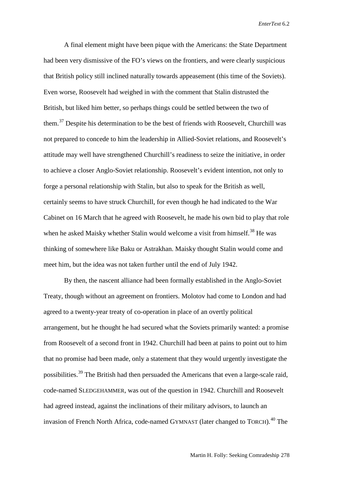A final element might have been pique with the Americans: the State Department had been very dismissive of the FO's views on the frontiers, and were clearly suspicious that British policy still inclined naturally towards appeasement (this time of the Soviets). Even worse, Roosevelt had weighed in with the comment that Stalin distrusted the British, but liked him better, so perhaps things could be settled between the two of them.[37](#page-36-20) Despite his determination to be the best of friends with Roosevelt, Churchill was not prepared to concede to him the leadership in Allied-Soviet relations, and Roosevelt's attitude may well have strengthened Churchill's readiness to seize the initiative, in order to achieve a closer Anglo-Soviet relationship. Roosevelt's evident intention, not only to forge a personal relationship with Stalin, but also to speak for the British as well, certainly seems to have struck Churchill, for even though he had indicated to the War Cabinet on 16 March that he agreed with Roosevelt, he made his own bid to play that role when he asked Maisky whether Stalin would welcome a visit from himself.<sup>[38](#page-36-21)</sup> He was thinking of somewhere like Baku or Astrakhan. Maisky thought Stalin would come and meet him, but the idea was not taken further until the end of July 1942.

By then, the nascent alliance had been formally established in the Anglo-Soviet Treaty, though without an agreement on frontiers. Molotov had come to London and had agreed to a twenty-year treaty of co-operation in place of an overtly political arrangement, but he thought he had secured what the Soviets primarily wanted: a promise from Roosevelt of a second front in 1942. Churchill had been at pains to point out to him that no promise had been made, only a statement that they would urgently investigate the possibilities.[39](#page-36-5) The British had then persuaded the Americans that even a large-scale raid, code-named SLEDGEHAMMER, was out of the question in 1942. Churchill and Roosevelt had agreed instead, against the inclinations of their military advisors, to launch an invasion of French North Africa, code-named GYMNAST (later changed to TORCH).<sup>[40](#page-36-6)</sup> The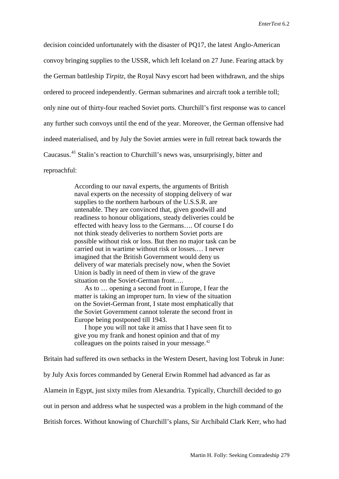decision coincided unfortunately with the disaster of PQ17, the latest Anglo-American convoy bringing supplies to the USSR, which left Iceland on 27 June. Fearing attack by the German battleship *Tirpitz*, the Royal Navy escort had been withdrawn, and the ships ordered to proceed independently. German submarines and aircraft took a terrible toll; only nine out of thirty-four reached Soviet ports. Churchill's first response was to cancel any further such convoys until the end of the year. Moreover, the German offensive had indeed materialised, and by July the Soviet armies were in full retreat back towards the Caucasus.[41](#page-36-22) Stalin's reaction to Churchill's news was, unsurprisingly, bitter and reproachful:

> According to our naval experts, the arguments of British naval experts on the necessity of stopping delivery of war supplies to the northern harbours of the U.S.S.R. are untenable. They are convinced that, given goodwill and readiness to honour obligations, steady deliveries could be effected with heavy loss to the Germans…. Of course I do not think steady deliveries to northern Soviet ports are possible without risk or loss. But then no major task can be carried out in wartime without risk or losses.… I never imagined that the British Government would deny us delivery of war materials precisely now, when the Soviet Union is badly in need of them in view of the grave situation on the Soviet-German front….

As to … opening a second front in Europe, I fear the matter is taking an improper turn. In view of the situation on the Soviet-German front, I state most emphatically that the Soviet Government cannot tolerate the second front in Europe being postponed till 1943.

I hope you will not take it amiss that I have seen fit to give you my frank and honest opinion and that of my colleagues on the points raised in your message.<sup>[42](#page-36-23)</sup>

Britain had suffered its own setbacks in the Western Desert, having lost Tobruk in June:

by July Axis forces commanded by General Erwin Rommel had advanced as far as

Alamein in Egypt, just sixty miles from Alexandria. Typically, Churchill decided to go

out in person and address what he suspected was a problem in the high command of the

British forces. Without knowing of Churchill's plans, Sir Archibald Clark Kerr, who had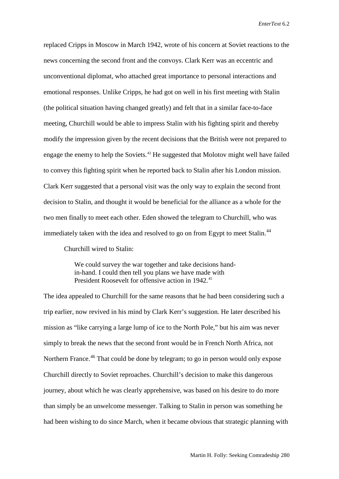replaced Cripps in Moscow in March 1942, wrote of his concern at Soviet reactions to the news concerning the second front and the convoys. Clark Kerr was an eccentric and unconventional diplomat, who attached great importance to personal interactions and emotional responses. Unlike Cripps, he had got on well in his first meeting with Stalin (the political situation having changed greatly) and felt that in a similar face-to-face meeting, Churchill would be able to impress Stalin with his fighting spirit and thereby modify the impression given by the recent decisions that the British were not prepared to engage the enemy to help the Soviets.<sup>[43](#page-36-12)</sup> He suggested that Molotov might well have failed to convey this fighting spirit when he reported back to Stalin after his London mission. Clark Kerr suggested that a personal visit was the only way to explain the second front decision to Stalin, and thought it would be beneficial for the alliance as a whole for the two men finally to meet each other. Eden showed the telegram to Churchill, who was immediately taken with the idea and resolved to go on from Egypt to meet Stalin.<sup>[44](#page-36-14)</sup>

Churchill wired to Stalin:

We could survey the war together and take decisions handin-hand. I could then tell you plans we have made with President Roosevelt for offensive action in 1942.<sup>[45](#page-36-24)</sup>

The idea appealed to Churchill for the same reasons that he had been considering such a trip earlier, now revived in his mind by Clark Kerr's suggestion. He later described his mission as "like carrying a large lump of ice to the North Pole," but his aim was never simply to break the news that the second front would be in French North Africa, not Northern France.<sup>[46](#page-36-16)</sup> That could be done by telegram; to go in person would only expose Churchill directly to Soviet reproaches. Churchill's decision to make this dangerous journey, about which he was clearly apprehensive, was based on his desire to do more than simply be an unwelcome messenger. Talking to Stalin in person was something he had been wishing to do since March, when it became obvious that strategic planning with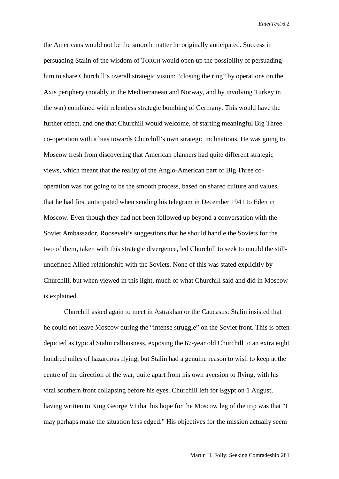the Americans would not be the smooth matter he originally anticipated. Success in persuading Stalin of the wisdom of TORCH would open up the possibility of persuading him to share Churchill's overall strategic vision: "closing the ring" by operations on the Axis periphery (notably in the Mediterranean and Norway, and by involving Turkey in the war) combined with relentless strategic bombing of Germany. This would have the further effect, and one that Churchill would welcome, of starting meaningful Big Three co-operation with a bias towards Churchill's own strategic inclinations. He was going to Moscow fresh from discovering that American planners had quite different strategic views, which meant that the reality of the Anglo-American part of Big Three cooperation was not going to be the smooth process, based on shared culture and values, that he had first anticipated when sending his telegram in December 1941 to Eden in Moscow. Even though they had not been followed up beyond a conversation with the Soviet Ambassador, Roosevelt's suggestions that he should handle the Soviets for the two of them, taken with this strategic divergence, led Churchill to seek to mould the stillundefined Allied relationship with the Soviets. None of this was stated explicitly by Churchill, but when viewed in this light, much of what Churchill said and did in Moscow is explained.

Churchill asked again to meet in Astrakhan or the Caucasus: Stalin insisted that he could not leave Moscow during the "intense struggle" on the Soviet front. This is often depicted as typical Stalin callousness, exposing the 67-year old Churchill to an extra eight hundred miles of hazardous flying, but Stalin had a genuine reason to wish to keep at the centre of the direction of the war, quite apart from his own aversion to flying, with his vital southern front collapsing before his eyes. Churchill left for Egypt on 1 August, having written to King George VI that his hope for the Moscow leg of the trip was that "I may perhaps make the situation less edged." His objectives for the mission actually seem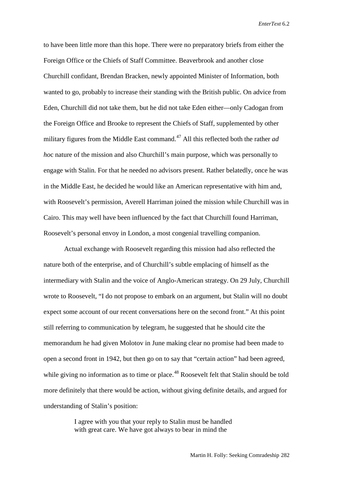to have been little more than this hope. There were no preparatory briefs from either the Foreign Office or the Chiefs of Staff Committee. Beaverbrook and another close Churchill confidant, Brendan Bracken, newly appointed Minister of Information, both wanted to go, probably to increase their standing with the British public. On advice from Eden, Churchill did not take them, but he did not take Eden either—only Cadogan from the Foreign Office and Brooke to represent the Chiefs of Staff, supplemented by other military figures from the Middle East command.<sup>[47](#page-36-25)</sup> All this reflected both the rather *ad ho*c nature of the mission and also Churchill's main purpose, which was personally to engage with Stalin. For that he needed no advisors present. Rather belatedly, once he was in the Middle East, he decided he would like an American representative with him and, with Roosevelt's permission, Averell Harriman joined the mission while Churchill was in Cairo. This may well have been influenced by the fact that Churchill found Harriman, Roosevelt's personal envoy in London, a most congenial travelling companion.

Actual exchange with Roosevelt regarding this mission had also reflected the nature both of the enterprise, and of Churchill's subtle emplacing of himself as the intermediary with Stalin and the voice of Anglo-American strategy. On 29 July, Churchill wrote to Roosevelt, "I do not propose to embark on an argument, but Stalin will no doubt expect some account of our recent conversations here on the second front." At this point still referring to communication by telegram, he suggested that he should cite the memorandum he had given Molotov in June making clear no promise had been made to open a second front in 1942, but then go on to say that "certain action" had been agreed, while giving no information as to time or place.<sup>[48](#page-36-26)</sup> Roosevelt felt that Stalin should be told more definitely that there would be action, without giving definite details, and argued for understanding of Stalin's position:

> I agree with you that your reply to Stalin must be handled with great care. We have got always to bear in mind the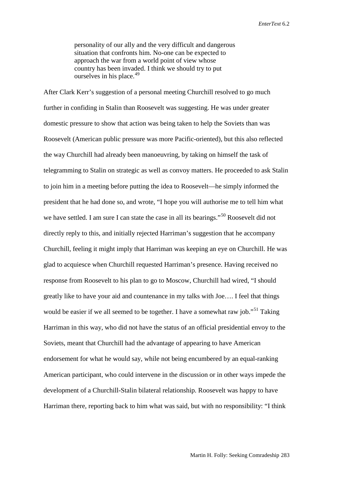personality of our ally and the very difficult and dangerous situation that confronts him. No-one can be expected to approach the war from a world point of view whose country has been invaded. I think we should try to put ourselves in his place.<sup>[49](#page-36-18)</sup>

After Clark Kerr's suggestion of a personal meeting Churchill resolved to go much further in confiding in Stalin than Roosevelt was suggesting. He was under greater domestic pressure to show that action was being taken to help the Soviets than was Roosevelt (American public pressure was more Pacific-oriented), but this also reflected the way Churchill had already been manoeuvring, by taking on himself the task of telegramming to Stalin on strategic as well as convoy matters. He proceeded to ask Stalin to join him in a meeting before putting the idea to Roosevelt—he simply informed the president that he had done so, and wrote, "I hope you will authorise me to tell him what we have settled. I am sure I can state the case in all its bearings."<sup>[50](#page-36-0)</sup> Roosevelt did not directly reply to this, and initially rejected Harriman's suggestion that he accompany Churchill, feeling it might imply that Harriman was keeping an eye on Churchill. He was glad to acquiesce when Churchill requested Harriman's presence. Having received no response from Roosevelt to his plan to go to Moscow, Churchill had wired, "I should greatly like to have your aid and countenance in my talks with Joe…. I feel that things would be easier if we all seemed to be together. I have a somewhat raw job."<sup>[51](#page-36-1)</sup> Taking Harriman in this way, who did not have the status of an official presidential envoy to the Soviets, meant that Churchill had the advantage of appearing to have American endorsement for what he would say, while not being encumbered by an equal-ranking American participant, who could intervene in the discussion or in other ways impede the development of a Churchill-Stalin bilateral relationship. Roosevelt was happy to have Harriman there, reporting back to him what was said, but with no responsibility: "I think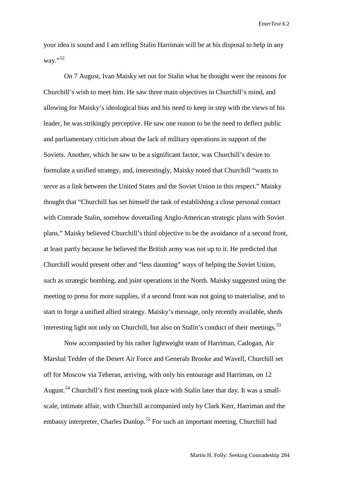your idea is sound and I am telling Stalin Harriman will be at his disposal to help in any way."[52](#page-36-27)

On 7 August, Ivan Maisky set out for Stalin what he thought were the reasons for Churchill's wish to meet him. He saw three main objectives in Churchill's mind, and allowing for Maisky's ideological bias and his need to keep in step with the views of his leader, he was strikingly perceptive. He saw one reason to be the need to deflect public and parliamentary criticism about the lack of military operations in support of the Soviets. Another, which he saw to be a significant factor, was Churchill's desire to formulate a unified strategy, and, interestingly, Maisky noted that Churchill "wants to serve as a link between the United States and the Soviet Union in this respect." Maisky thought that "Churchill has set himself the task of establishing a close personal contact with Comrade Stalin, somehow dovetailing Anglo-American strategic plans with Soviet plans." Maisky believed Churchill's third objective to be the avoidance of a second front, at least partly because he believed the British army was not up to it. He predicted that Churchill would present other and "less daunting" ways of helping the Soviet Union, such as strategic bombing, and joint operations in the North. Maisky suggested using the meeting to press for more supplies, if a second front was not going to materialise, and to start to forge a unified allied strategy. Maisky's message, only recently available, sheds interesting light not only on Churchill, but also on Stalin's conduct of their meetings.<sup>[53](#page-36-2)</sup>

Now accompanied by his rather lightweight team of Harriman, Cadogan, Air Marshal Tedder of the Desert Air Force and Generals Brooke and Wavell, Churchill set off for Moscow via Teheran, arriving, with only his entourage and Harriman, on 12 August.<sup>[54](#page-36-3)</sup> Churchill's first meeting took place with Stalin later that day. It was a smallscale, intimate affair, with Churchill accompanied only by Clark Kerr, Harriman and the embassy interpreter, Charles Dunlop.<sup>[55](#page-36-20)</sup> For such an important meeting, Churchill had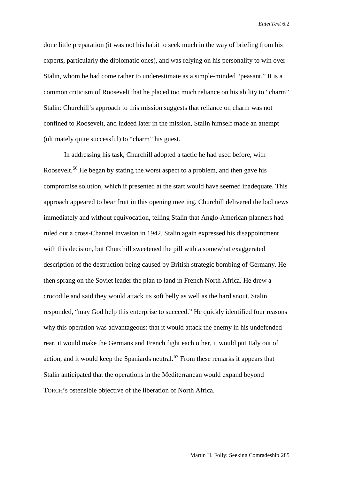done little preparation (it was not his habit to seek much in the way of briefing from his experts, particularly the diplomatic ones), and was relying on his personality to win over Stalin, whom he had come rather to underestimate as a simple-minded "peasant." It is a common criticism of Roosevelt that he placed too much reliance on his ability to "charm" Stalin: Churchill's approach to this mission suggests that reliance on charm was not confined to Roosevelt, and indeed later in the mission, Stalin himself made an attempt (ultimately quite successful) to "charm" his guest.

In addressing his task, Churchill adopted a tactic he had used before, with Roosevelt.<sup>[56](#page-36-21)</sup> He began by stating the worst aspect to a problem, and then gave his compromise solution, which if presented at the start would have seemed inadequate. This approach appeared to bear fruit in this opening meeting. Churchill delivered the bad news immediately and without equivocation, telling Stalin that Anglo-American planners had ruled out a cross-Channel invasion in 1942. Stalin again expressed his disappointment with this decision, but Churchill sweetened the pill with a somewhat exaggerated description of the destruction being caused by British strategic bombing of Germany. He then sprang on the Soviet leader the plan to land in French North Africa. He drew a crocodile and said they would attack its soft belly as well as the hard snout. Stalin responded, "may God help this enterprise to succeed." He quickly identified four reasons why this operation was advantageous: that it would attack the enemy in his undefended rear, it would make the Germans and French fight each other, it would put Italy out of action, and it would keep the Spaniards neutral.<sup>[57](#page-36-6)</sup> From these remarks it appears that Stalin anticipated that the operations in the Mediterranean would expand beyond TORCH's ostensible objective of the liberation of North Africa.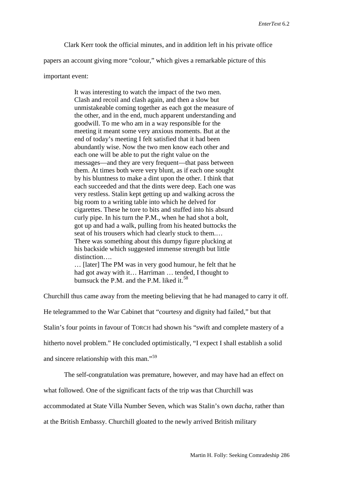Clark Kerr took the official minutes, and in addition left in his private office

papers an account giving more "colour," which gives a remarkable picture of this

## important event:

It was interesting to watch the impact of the two men. Clash and recoil and clash again, and then a slow but unmistakeable coming together as each got the measure of the other, and in the end, much apparent understanding and goodwill. To me who am in a way responsible for the meeting it meant some very anxious moments. But at the end of today's meeting I felt satisfied that it had been abundantly wise. Now the two men know each other and each one will be able to put the right value on the messages—and they are very frequent—that pass between them. At times both were very blunt, as if each one sought by his bluntness to make a dint upon the other. I think that each succeeded and that the dints were deep. Each one was very restless. Stalin kept getting up and walking across the big room to a writing table into which he delved for cigarettes. These he tore to bits and stuffed into his absurd curly pipe. In his turn the P.M., when he had shot a bolt, got up and had a walk, pulling from his heated buttocks the seat of his trousers which had clearly stuck to them.… There was something about this dumpy figure plucking at his backside which suggested immense strength but little distinction….

… [later] The PM was in very good humour, he felt that he had got away with it… Harriman … tended, I thought to bumsuck the P.M. and the P.M. liked it.<sup>[58](#page-36-28)</sup>

Churchill thus came away from the meeting believing that he had managed to carry it off.

He telegrammed to the War Cabinet that "courtesy and dignity had failed," but that

Stalin's four points in favour of TORCH had shown his "swift and complete mastery of a

hitherto novel problem." He concluded optimistically, "I expect I shall establish a solid

and sincere relationship with this man."[59](#page-36-29)

The self-congratulation was premature, however, and may have had an effect on

what followed. One of the significant facts of the trip was that Churchill was

accommodated at State Villa Number Seven, which was Stalin's own *dacha*, rather than

at the British Embassy. Churchill gloated to the newly arrived British military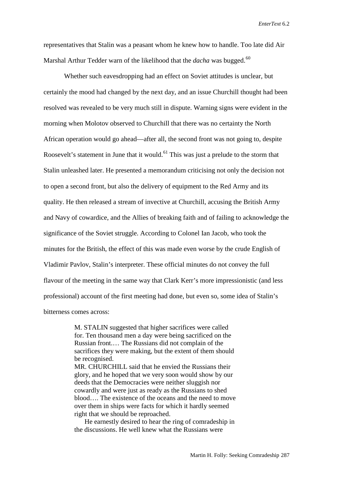representatives that Stalin was a peasant whom he knew how to handle. Too late did Air Marshal Arthur Tedder warn of the likelihood that the *dacha* was bugged.<sup>[60](#page-36-30)</sup>

Whether such eavesdropping had an effect on Soviet attitudes is unclear, but certainly the mood had changed by the next day, and an issue Churchill thought had been resolved was revealed to be very much still in dispute. Warning signs were evident in the morning when Molotov observed to Churchill that there was no certainty the North African operation would go ahead—after all, the second front was not going to, despite Roosevelt's statement in June that it would.<sup>[61](#page-36-23)</sup> This was just a prelude to the storm that Stalin unleashed later. He presented a memorandum criticising not only the decision not to open a second front, but also the delivery of equipment to the Red Army and its quality. He then released a stream of invective at Churchill, accusing the British Army and Navy of cowardice, and the Allies of breaking faith and of failing to acknowledge the significance of the Soviet struggle. According to Colonel Ian Jacob, who took the minutes for the British, the effect of this was made even worse by the crude English of Vladimir Pavlov, Stalin's interpreter. These official minutes do not convey the full flavour of the meeting in the same way that Clark Kerr's more impressionistic (and less professional) account of the first meeting had done, but even so, some idea of Stalin's bitterness comes across:

> M. STALIN suggested that higher sacrifices were called for. Ten thousand men a day were being sacrificed on the Russian front.… The Russians did not complain of the sacrifices they were making, but the extent of them should be recognised. MR. CHURCHILL said that he envied the Russians their

> glory, and he hoped that we very soon would show by our deeds that the Democracies were neither sluggish nor cowardly and were just as ready as the Russians to shed blood…. The existence of the oceans and the need to move over them in ships were facts for which it hardly seemed right that we should be reproached.

> He earnestly desired to hear the ring of comradeship in the discussions. He well knew what the Russians were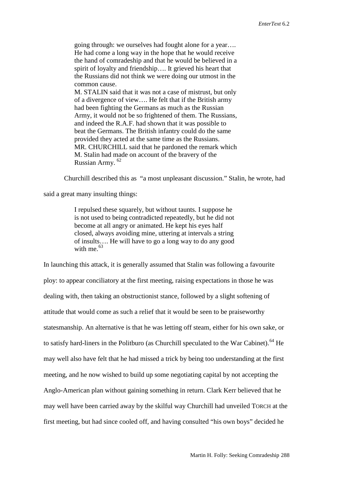going through: we ourselves had fought alone for a year…. He had come a long way in the hope that he would receive the hand of comradeship and that he would be believed in a spirit of loyalty and friendship…. It grieved his heart that the Russians did not think we were doing our utmost in the common cause. M. STALIN said that it was not a case of mistrust, but only of a divergence of view…. He felt that if the British army had been fighting the Germans as much as the Russian Army, it would not be so frightened of them. The Russians, and indeed the R.A.F. had shown that it was possible to beat the Germans. The British infantry could do the same provided they acted at the same time as the Russians. MR. CHURCHILL said that he pardoned the remark which M. Stalin had made on account of the bravery of the Russian Army. [62](#page-36-31)

Churchill described this as "a most unpleasant discussion." Stalin, he wrote, had

said a great many insulting things:

I repulsed these squarely, but without taunts. I suppose he is not used to being contradicted repeatedly, but he did not become at all angry or animated. He kept his eyes half closed, always avoiding mine, uttering at intervals a string of insults…. He will have to go a long way to do any good with me.<sup>[63](#page-36-12)</sup>

In launching this attack, it is generally assumed that Stalin was following a favourite ploy: to appear conciliatory at the first meeting, raising expectations in those he was dealing with, then taking an obstructionist stance, followed by a slight softening of attitude that would come as such a relief that it would be seen to be praiseworthy statesmanship. An alternative is that he was letting off steam, either for his own sake, or to satisfy hard-liners in the Politburo (as Churchill speculated to the War Cabinet).<sup>[64](#page-36-13)</sup> He may well also have felt that he had missed a trick by being too understanding at the first meeting, and he now wished to build up some negotiating capital by not accepting the Anglo-American plan without gaining something in return. Clark Kerr believed that he may well have been carried away by the skilful way Churchill had unveiled TORCH at the first meeting, but had since cooled off, and having consulted "his own boys" decided he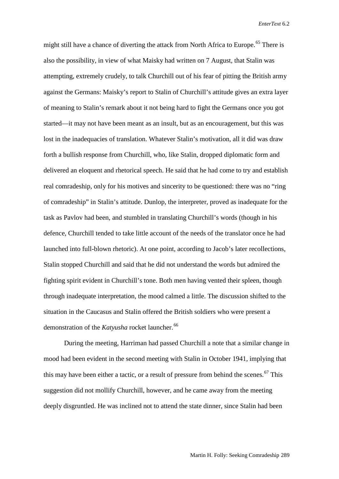might still have a chance of diverting the attack from North Africa to Europe.<sup>[65](#page-36-32)</sup> There is also the possibility, in view of what Maisky had written on 7 August, that Stalin was attempting, extremely crudely, to talk Churchill out of his fear of pitting the British army against the Germans: Maisky's report to Stalin of Churchill's attitude gives an extra layer of meaning to Stalin's remark about it not being hard to fight the Germans once you got started—it may not have been meant as an insult, but as an encouragement, but this was lost in the inadequacies of translation. Whatever Stalin's motivation, all it did was draw forth a bullish response from Churchill, who, like Stalin, dropped diplomatic form and delivered an eloquent and rhetorical speech. He said that he had come to try and establish real comradeship, only for his motives and sincerity to be questioned: there was no "ring of comradeship" in Stalin's attitude. Dunlop, the interpreter, proved as inadequate for the task as Pavlov had been, and stumbled in translating Churchill's words (though in his defence, Churchill tended to take little account of the needs of the translator once he had launched into full-blown rhetoric). At one point, according to Jacob's later recollections, Stalin stopped Churchill and said that he did not understand the words but admired the fighting spirit evident in Churchill's tone. Both men having vented their spleen, though through inadequate interpretation, the mood calmed a little. The discussion shifted to the situation in the Caucasus and Stalin offered the British soldiers who were present a demonstration of the *Katyusha* rocket launcher.<sup>[66](#page-36-14)</sup>

During the meeting, Harriman had passed Churchill a note that a similar change in mood had been evident in the second meeting with Stalin in October 1941, implying that this may have been either a tactic, or a result of pressure from behind the scenes.<sup>[67](#page-36-15)</sup> This suggestion did not mollify Churchill, however, and he came away from the meeting deeply disgruntled. He was inclined not to attend the state dinner, since Stalin had been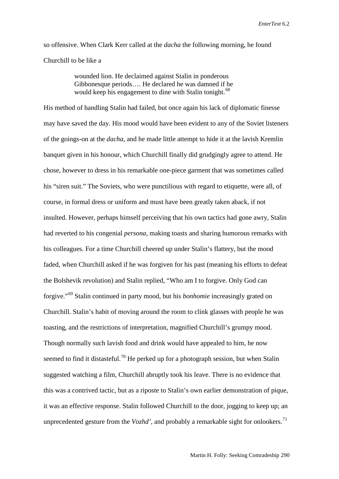so offensive. When Clark Kerr called at the *dacha* the following morning, he found Churchill to be like a

> wounded lion. He declaimed against Stalin in ponderous Gibbonesque periods…. He declared he was damned if he would keep his engagement to dine with Stalin tonight.<sup>[68](#page-36-33)</sup>

His method of handling Stalin had failed, but once again his lack of diplomatic finesse may have saved the day. His mood would have been evident to any of the Soviet listeners of the goings-on at the *dacha*, and he made little attempt to hide it at the lavish Kremlin banquet given in his honour, which Churchill finally did grudgingly agree to attend. He chose, however to dress in his remarkable one-piece garment that was sometimes called his "siren suit." The Soviets, who were punctilious with regard to etiquette, were all, of course, in formal dress or uniform and must have been greatly taken aback, if not insulted. However, perhaps himself perceiving that his own tactics had gone awry, Stalin had reverted to his congenial *persona*, making toasts and sharing humorous remarks with his colleagues. For a time Churchill cheered up under Stalin's flattery, but the mood faded, when Churchill asked if he was forgiven for his past (meaning his efforts to defeat the Bolshevik revolution) and Stalin replied, "Who am I to forgive. Only God can forgive."[69](#page-36-34) Stalin continued in party mood, but his *bonhomie* increasingly grated on Churchill. Stalin's habit of moving around the room to clink glasses with people he was toasting, and the restrictions of interpretation, magnified Churchill's grumpy mood. Though normally such lavish food and drink would have appealed to him, he now seemed to find it distasteful.<sup>[70](#page-36-24)</sup> He perked up for a photograph session, but when Stalin suggested watching a film, Churchill abruptly took his leave. There is no evidence that this was a contrived tactic, but as a riposte to Stalin's own earlier demonstration of pique, it was an effective response. Stalin followed Churchill to the door, jogging to keep up; an unprecedented gesture from the  $Vozhd'$ , and probably a remarkable sight for onlookers.<sup>[71](#page-36-35)</sup>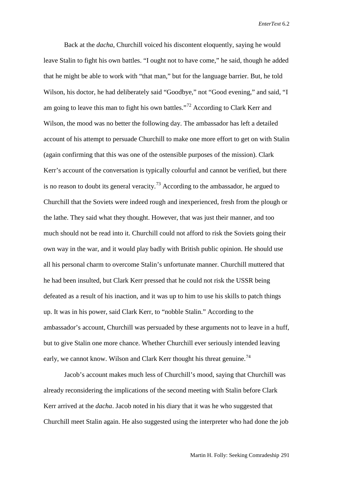Back at the *dacha*, Churchill voiced his discontent eloquently, saying he would leave Stalin to fight his own battles. "I ought not to have come," he said, though he added that he might be able to work with "that man," but for the language barrier. But, he told Wilson, his doctor, he had deliberately said "Goodbye," not "Good evening," and said, "I am going to leave this man to fight his own battles."[72](#page-36-36) According to Clark Kerr and Wilson, the mood was no better the following day. The ambassador has left a detailed account of his attempt to persuade Churchill to make one more effort to get on with Stalin (again confirming that this was one of the ostensible purposes of the mission). Clark Kerr's account of the conversation is typically colourful and cannot be verified, but there is no reason to doubt its general veracity.<sup>[73](#page-36-25)</sup> According to the ambassador, he argued to Churchill that the Soviets were indeed rough and inexperienced, fresh from the plough or the lathe. They said what they thought. However, that was just their manner, and too much should not be read into it. Churchill could not afford to risk the Soviets going their own way in the war, and it would play badly with British public opinion. He should use all his personal charm to overcome Stalin's unfortunate manner. Churchill muttered that he had been insulted, but Clark Kerr pressed that he could not risk the USSR being defeated as a result of his inaction, and it was up to him to use his skills to patch things up. It was in his power, said Clark Kerr, to "nobble Stalin." According to the ambassador's account, Churchill was persuaded by these arguments not to leave in a huff, but to give Stalin one more chance. Whether Churchill ever seriously intended leaving early, we cannot know. Wilson and Clark Kerr thought his threat genuine.<sup>[74](#page-36-37)</sup>

Jacob's account makes much less of Churchill's mood, saying that Churchill was already reconsidering the implications of the second meeting with Stalin before Clark Kerr arrived at the *dacha*. Jacob noted in his diary that it was he who suggested that Churchill meet Stalin again. He also suggested using the interpreter who had done the job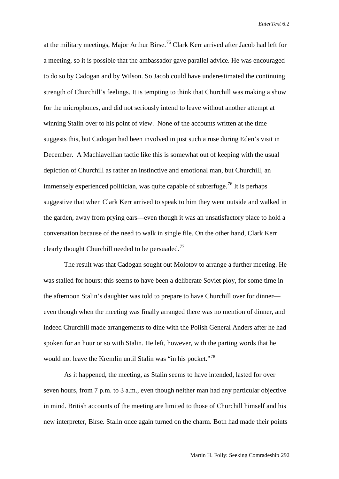at the military meetings, Major Arthur Birse.[75](#page-36-29) Clark Kerr arrived after Jacob had left for a meeting, so it is possible that the ambassador gave parallel advice. He was encouraged to do so by Cadogan and by Wilson. So Jacob could have underestimated the continuing strength of Churchill's feelings. It is tempting to think that Churchill was making a show for the microphones, and did not seriously intend to leave without another attempt at winning Stalin over to his point of view. None of the accounts written at the time suggests this, but Cadogan had been involved in just such a ruse during Eden's visit in December. A Machiavellian tactic like this is somewhat out of keeping with the usual depiction of Churchill as rather an instinctive and emotional man, but Churchill, an immensely experienced politician, was quite capable of subterfuge.<sup>[76](#page-36-38)</sup> It is perhaps suggestive that when Clark Kerr arrived to speak to him they went outside and walked in the garden, away from prying ears—even though it was an unsatisfactory place to hold a conversation because of the need to walk in single file. On the other hand, Clark Kerr clearly thought Churchill needed to be persuaded.<sup>[77](#page-36-30)</sup>

The result was that Cadogan sought out Molotov to arrange a further meeting. He was stalled for hours: this seems to have been a deliberate Soviet ploy, for some time in the afternoon Stalin's daughter was told to prepare to have Churchill over for dinner even though when the meeting was finally arranged there was no mention of dinner, and indeed Churchill made arrangements to dine with the Polish General Anders after he had spoken for an hour or so with Stalin. He left, however, with the parting words that he would not leave the Kremlin until Stalin was "in his pocket."<sup>[78](#page-36-39)</sup>

As it happened, the meeting, as Stalin seems to have intended, lasted for over seven hours, from 7 p.m. to 3 a.m., even though neither man had any particular objective in mind. British accounts of the meeting are limited to those of Churchill himself and his new interpreter, Birse. Stalin once again turned on the charm. Both had made their points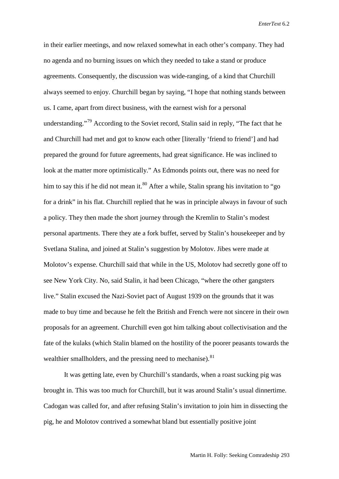in their earlier meetings, and now relaxed somewhat in each other's company. They had no agenda and no burning issues on which they needed to take a stand or produce agreements. Consequently, the discussion was wide-ranging, of a kind that Churchill always seemed to enjoy. Churchill began by saying, "I hope that nothing stands between us. I came, apart from direct business, with the earnest wish for a personal understanding."<sup>[79](#page-36-31)</sup> According to the Soviet record, Stalin said in reply, "The fact that he and Churchill had met and got to know each other [literally 'friend to friend'] and had prepared the ground for future agreements, had great significance. He was inclined to look at the matter more optimistically." As Edmonds points out, there was no need for him to say this if he did not mean it.<sup>[80](#page-36-40)</sup> After a while, Stalin sprang his invitation to "go for a drink" in his flat. Churchill replied that he was in principle always in favour of such a policy. They then made the short journey through the Kremlin to Stalin's modest personal apartments. There they ate a fork buffet, served by Stalin's housekeeper and by Svetlana Stalina, and joined at Stalin's suggestion by Molotov. Jibes were made at Molotov's expense. Churchill said that while in the US, Molotov had secretly gone off to see New York City. No, said Stalin, it had been Chicago, "where the other gangsters live." Stalin excused the Nazi-Soviet pact of August 1939 on the grounds that it was made to buy time and because he felt the British and French were not sincere in their own proposals for an agreement. Churchill even got him talking about collectivisation and the fate of the kulaks (which Stalin blamed on the hostility of the poorer peasants towards the wealthier smallholders, and the pressing need to mechanise).<sup>[81](#page-36-9)</sup>

It was getting late, even by Churchill's standards, when a roast sucking pig was brought in. This was too much for Churchill, but it was around Stalin's usual dinnertime. Cadogan was called for, and after refusing Stalin's invitation to join him in dissecting the pig, he and Molotov contrived a somewhat bland but essentially positive joint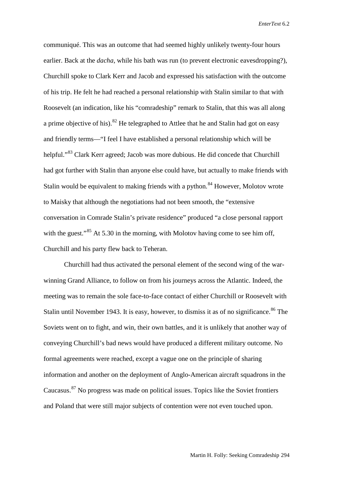communiqué. This was an outcome that had seemed highly unlikely twenty-four hours earlier. Back at the *dacha*, while his bath was run (to prevent electronic eavesdropping?), Churchill spoke to Clark Kerr and Jacob and expressed his satisfaction with the outcome of his trip. He felt he had reached a personal relationship with Stalin similar to that with Roosevelt (an indication, like his "comradeship" remark to Stalin, that this was all along a prime objective of his).<sup>[82](#page-36-41)</sup> He telegraphed to Attlee that he and Stalin had got on easy and friendly terms—"I feel I have established a personal relationship which will be helpful."<sup>[83](#page-36-15)</sup> Clark Kerr agreed; Jacob was more dubious. He did concede that Churchill had got further with Stalin than anyone else could have, but actually to make friends with Stalin would be equivalent to making friends with a python.<sup>[84](#page-36-33)</sup> However, Molotov wrote to Maisky that although the negotiations had not been smooth, the "extensive conversation in Comrade Stalin's private residence" produced "a close personal rapport with the guest."<sup>[85](#page-36-34)</sup> At 5.30 in the morning, with Molotov having come to see him off, Churchill and his party flew back to Teheran.

Churchill had thus activated the personal element of the second wing of the warwinning Grand Alliance, to follow on from his journeys across the Atlantic. Indeed, the meeting was to remain the sole face-to-face contact of either Churchill or Roosevelt with Stalin until November 1943. It is easy, however, to dismiss it as of no significance.<sup>[86](#page-36-42)</sup> The Soviets went on to fight, and win, their own battles, and it is unlikely that another way of conveying Churchill's bad news would have produced a different military outcome. No formal agreements were reached, except a vague one on the principle of sharing information and another on the deployment of Anglo-American aircraft squadrons in the Caucasus.[87](#page-36-16) No progress was made on political issues. Topics like the Soviet frontiers and Poland that were still major subjects of contention were not even touched upon.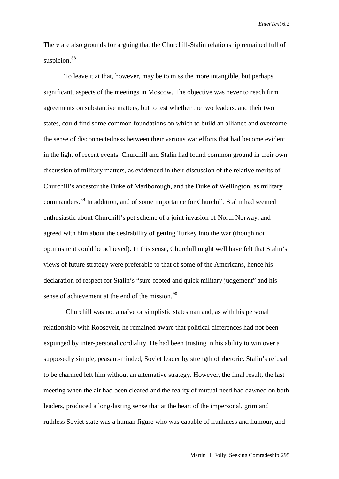There are also grounds for arguing that the Churchill-Stalin relationship remained full of suspicion.<sup>[88](#page-36-43)</sup>

To leave it at that, however, may be to miss the more intangible, but perhaps significant, aspects of the meetings in Moscow. The objective was never to reach firm agreements on substantive matters, but to test whether the two leaders, and their two states, could find some common foundations on which to build an alliance and overcome the sense of disconnectedness between their various war efforts that had become evident in the light of recent events. Churchill and Stalin had found common ground in their own discussion of military matters, as evidenced in their discussion of the relative merits of Churchill's ancestor the Duke of Marlborough, and the Duke of Wellington, as military commanders.[89](#page-36-1) In addition, and of some importance for Churchill, Stalin had seemed enthusiastic about Churchill's pet scheme of a joint invasion of North Norway, and agreed with him about the desirability of getting Turkey into the war (though not optimistic it could be achieved). In this sense, Churchill might well have felt that Stalin's views of future strategy were preferable to that of some of the Americans, hence his declaration of respect for Stalin's "sure-footed and quick military judgement" and his sense of achievement at the end of the mission.<sup>[90](#page-36-27)</sup>

Churchill was not a naïve or simplistic statesman and, as with his personal relationship with Roosevelt, he remained aware that political differences had not been expunged by inter-personal cordiality. He had been trusting in his ability to win over a supposedly simple, peasant-minded, Soviet leader by strength of rhetoric. Stalin's refusal to be charmed left him without an alternative strategy. However, the final result, the last meeting when the air had been cleared and the reality of mutual need had dawned on both leaders, produced a long-lasting sense that at the heart of the impersonal, grim and ruthless Soviet state was a human figure who was capable of frankness and humour, and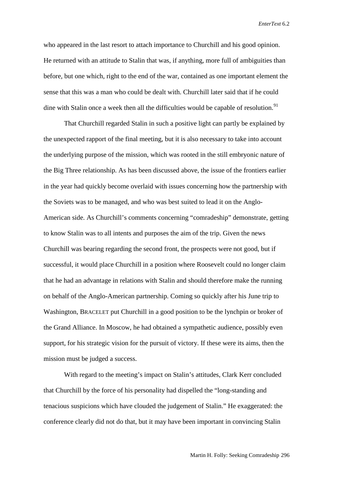who appeared in the last resort to attach importance to Churchill and his good opinion. He returned with an attitude to Stalin that was, if anything, more full of ambiguities than before, but one which, right to the end of the war, contained as one important element the sense that this was a man who could be dealt with. Churchill later said that if he could dine with Stalin once a week then all the difficulties would be capable of resolution.<sup>[91](#page-36-5)</sup>

That Churchill regarded Stalin in such a positive light can partly be explained by the unexpected rapport of the final meeting, but it is also necessary to take into account the underlying purpose of the mission, which was rooted in the still embryonic nature of the Big Three relationship. As has been discussed above, the issue of the frontiers earlier in the year had quickly become overlaid with issues concerning how the partnership with the Soviets was to be managed, and who was best suited to lead it on the Anglo-American side. As Churchill's comments concerning "comradeship" demonstrate, getting to know Stalin was to all intents and purposes the aim of the trip. Given the news Churchill was bearing regarding the second front, the prospects were not good, but if successful, it would place Churchill in a position where Roosevelt could no longer claim that he had an advantage in relations with Stalin and should therefore make the running on behalf of the Anglo-American partnership. Coming so quickly after his June trip to Washington, BRACELET put Churchill in a good position to be the lynchpin or broker of the Grand Alliance. In Moscow, he had obtained a sympathetic audience, possibly even support, for his strategic vision for the pursuit of victory. If these were its aims, then the mission must be judged a success.

With regard to the meeting's impact on Stalin's attitudes, Clark Kerr concluded that Churchill by the force of his personality had dispelled the "long-standing and tenacious suspicions which have clouded the judgement of Stalin." He exaggerated: the conference clearly did not do that, but it may have been important in convincing Stalin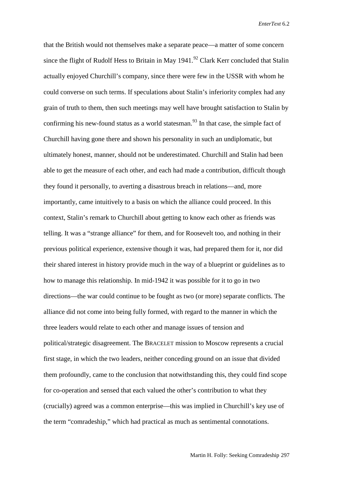that the British would not themselves make a separate peace—a matter of some concern since the flight of Rudolf Hess to Britain in May  $1941.^{92}$  $1941.^{92}$  $1941.^{92}$  Clark Kerr concluded that Stalin actually enjoyed Churchill's company, since there were few in the USSR with whom he could converse on such terms. If speculations about Stalin's inferiority complex had any grain of truth to them, then such meetings may well have brought satisfaction to Stalin by confirming his new-found status as a world statesman.<sup>[93](#page-36-45)</sup> In that case, the simple fact of Churchill having gone there and shown his personality in such an undiplomatic, but ultimately honest, manner, should not be underestimated. Churchill and Stalin had been able to get the measure of each other, and each had made a contribution, difficult though they found it personally, to averting a disastrous breach in relations—and, more importantly, came intuitively to a basis on which the alliance could proceed. In this context, Stalin's remark to Churchill about getting to know each other as friends was telling. It was a "strange alliance" for them, and for Roosevelt too, and nothing in their previous political experience, extensive though it was, had prepared them for it, nor did their shared interest in history provide much in the way of a blueprint or guidelines as to how to manage this relationship. In mid-1942 it was possible for it to go in two directions—the war could continue to be fought as two (or more) separate conflicts. The alliance did not come into being fully formed, with regard to the manner in which the three leaders would relate to each other and manage issues of tension and political/strategic disagreement. The BRACELET mission to Moscow represents a crucial first stage, in which the two leaders, neither conceding ground on an issue that divided them profoundly, came to the conclusion that notwithstanding this, they could find scope for co-operation and sensed that each valued the other's contribution to what they (crucially) agreed was a common enterprise—this was implied in Churchill's key use of the term "comradeship," which had practical as much as sentimental connotations.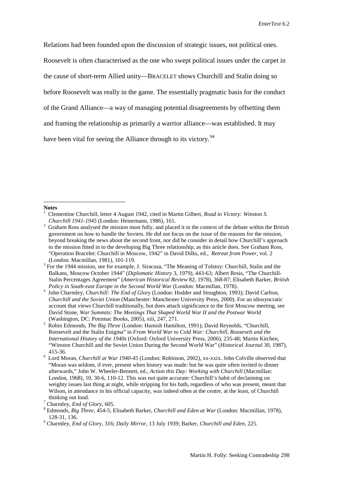Relations had been founded upon the discussion of strategic issues, not political ones. Roosevelt is often characterised as the one who swept political issues under the carpet in the cause of short-term Allied unity—BRACELET shows Churchill and Stalin doing so before Roosevelt was really in the game. The essentially pragmatic basis for the conduct of the Grand Alliance—a way of managing potential disagreements by offsetting them and framing the relationship as primarily a warrior alliance—was established. It may have been vital for seeing the Alliance through to its victory.<sup>[94](#page-36-46)</sup>

## <span id="page-31-0"></span>**Notes**

-

<sup>1</sup> Clementine Churchill, letter 4 August 1942, cited in Martin Gilbert, *Road to Victory: Winston S. Churchill 1941-1945* (London: Heinemann, 1986), 161. <sup>2</sup>

<span id="page-31-1"></span> $2\sigma$  Graham Ross analysed the mission most fully, and placed it in the context of the debate within the British government on how to handle the Soviets. He did not focus on the issue of the reasons for the mission, beyond breaking the news about the second front, nor did he consider in detail how Churchill's approach to the mission fitted in to the developing Big Three relationship, as this article does. See Graham Ross, "Operation Bracelet: Churchill in Moscow, 1942" in David Dilks, ed., *Retreat from Power,* vol. 2

<sup>(</sup>London: Macmillan, 1981), 101-119.<br><sup>3</sup> For the 1944 mission, see for example, J. Siracusa, "The Meaning of Tolstoy: Churchill, Stalin and the Balkans, Moscow October 1944" (*Diplomatic History* 3, 1979), 443-63; Albert Resis, "The Churchill-Stalin Percentages Agreement" (*American Historical Review* 82, 1978), 368-87; Elisabeth Barker, *British Policy in South-east Europe in the Second World War* (London: Macmillan, 1978). <sup>4</sup>

John Charmley, *Churchill: The End of Glory* (London: Hodder and Stoughton, 1993); David Carlton, *Churchill and the Soviet Union* (Manchester: Manchester University Press, 2000). For an idiosyncratic account that views Churchill traditionally, but does attach significance to the first Moscow meeting, see David Stone, *War Summits: The Meetings That Shaped World War II and the Postwar World*  (Washington, DC: Potomac Books, 2005), xiii, 247, 271. <sup>5</sup>

Robin Edmonds, *The Big Three* (London: Hamish Hamilton, 1991); David Reynolds, "Churchill, Roosevelt and the Stalin Enigma" in *From World War to Cold War: Churchill, Roosevelt and the International History of the 1940s* (Oxford: Oxford University Press, 2006), 235-48; Martin Kitchen, "Winston Churchill and the Soviet Union During the Second World War" (*Historical Journal* 30, 1987),

<sup>415-36.</sup> <sup>6</sup> Lord Moran, *Churchill at War 1940-45* (London: Robinson, 2002), xx-xxix. John Colville observed that "Moran was seldom, if ever, present when history was made: but he was quite often invited to dinner afterwards," John W. Wheeler-Bennett, ed., *Action this Day: Working with Churchill* (Macmillan: London, 1968), 10, 30-6, 110-12. This was not quite accurate: Churchill's habit of declaiming on weighty issues last thing at night, while stripping for his bath, regardless of who was present, meant that Wilson, in attendance in his official capacity, was indeed often at the centre, at the least, of Churchill thinking out loud.<br><sup>7</sup> Charmley, *End of Glory*, 605.<br><sup>8</sup> Edmonds, *Big Three*, 454-5; Elisabeth Barker, *Churchill and Eden at War* (London: Macmillan, 1978),

<sup>128-31, 136.</sup> <sup>9</sup> Charmley, *End of Glory*, 316; *Daily Mirror,* 13 July 1939; Barker, *Churchill and Eden*, 225.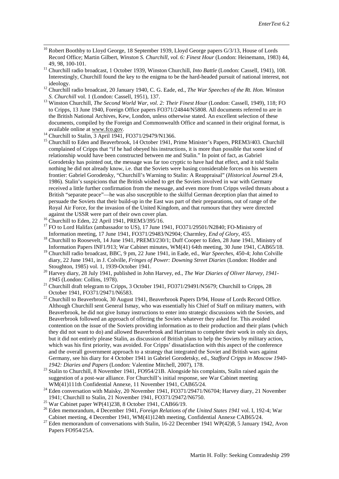- <sup>10</sup> Robert Boothby to Lloyd George, 18 September 1939, Lloyd George papers G/3/13, House of Lords Record Office; Martin Gilbert, *Winston S. Churchill, vol. 6: Finest Hour* (London: Heinemann, 1983) 44,
- 49, 98, 100-101. <sup>11</sup> Churchill radio broadcast, 1 October 1939, Winston Churchill, *Into Battle* (London: Cassell, 1941), 108. Interestingly, Churchill found the key to the enigma to be the hard-headed pursuit of national interest, not
- ideology. <sup>12</sup> Churchill radio broadcast, 20 January 1940, C. G. Eade, ed., *The War Speeches of the Rt. Hon. Winston*
- <sup>13</sup> Winston Churchill, *The Second World War, vol. 2: Their Finest Hour* (London: Cassell, 1949), 118; FO to Cripps, 13 June 1940, Foreign Office papers FO371/24844/N5808. All documents referred to are in the British National Archives, Kew, London, unless otherwise stated. An excellent selection of these documents, compiled by the Foreign and Commonwealth Office and scanned in their original format, is
- 
- available online at www.fco.gov.<br><sup>14</sup> Churchill to Stalin, 3 April 1941, FO371/29479/N1366.<br><sup>15</sup> Churchill to Eden and Beaverbrook, 14 October 1941, Prime Minister's Papers, PREM3/403. Churchill complained of Cripps that "if he had obeyed his instructions, it is more than possible that some kind of relationship would have been constructed between me and Stalin." In point of fact, as Gabriel Gorodetsky has pointed out, the message was far too cryptic to have had that effect, and it told Stalin nothing he did not already know, i.e. that the Soviets were basing considerable forces on his western frontier: Gabriel Gorodetsky, "Churchill's Warning to Stalin: A Reappraisal" (*Historical Journal* 29.4, 1986). Stalin's suspicions that the British wished to get the Soviets involved in war with Germany received a little further confirmation from the message, and even more from Cripps veiled threats about a British "separate peace"—he was also susceptible to the skilful German deception plan that aimed to persuade the Soviets that their build-up in the East was part of their preparations, out of range of the Royal Air Force, for the invasion of the United Kingdom, and that rumours that they were directed against the USSR were part of their own cover plan.
- 
- <sup>16</sup> Churchill to Eden, 22 April 1941, PREM3/395/16.<br><sup>17</sup> FO to Lord Halifax (ambassador to US), 17 June 1941, FO371/29501/N2840; FO-Ministry of<br>Information meeting, 17 June 1941, FO371/29483/N2904; Charmley, *End of Glor*
- <sup>18</sup> Churchill to Roosevelt, 14 June 1941, PREM3/230/1; Duff Cooper to Eden, 28 June 1941, Ministry of Information Papers INF1/913; War Cabinet minutes, WM(41) 64th meeting, 30 June 1941, CAB65/18.
- <sup>19</sup> Churchill radio broadcast, BBC, 9 pm, 22 June 1941, in Eade, ed., *War Speeches*, 450-4; John Colville diary, 22 June 1941, in J. Colville, *Fringes of Power: Downing Street Diaries* (London: Hodder and
- <span id="page-32-0"></span>Stoughton, 1985) vol. 1, 1939-October 1941.<br><sup>20</sup> Harvey diary, 28 July 1941, published in John Harvey, ed., *The War Diaries of Oliver Harvey, 1941-*<br>*1945* (London: Collins. 1978).
- <sup>21</sup> Churchill draft telegram to Cripps, 3 October 1941, FO371/29491/N5679; Churchill to Cripps, 28
- October 1941, FO371/29471/N6583. <sup>22</sup> Churchill to Beaverbrook, 30 August 1941, Beaverbrook Papers D/94, House of Lords Record Office. Although Churchill sent General Ismay, who was essentially his Chief of Staff on military matters, with Beaverbrook, he did not give Ismay instructions to enter into strategic discussions with the Soviets, and Beaverbrook followed an approach of offering the Soviets whatever they asked for. This avoided contention on the issue of the Soviets providing information as to their production and their plans (which they did not want to do) and allowed Beaverbrook and Harriman to complete their work in only six days, but it did not entirely please Stalin, as discussion of British plans to help the Soviets by military action, which was his first priority, was avoided. For Cripps' dissatisfaction with this aspect of the conference and the overall government approach to a strategy that integrated the Soviet and British wars against Germany, see his diary for 4 October 1941 in Gabriel Gorodetsky, ed., *Stafford Cripps in Moscow 1940-*
- <sup>23</sup> Stalin to Churchill, 8 November 1941, FO954/21B. Alongside his complaints, Stalin raised again the suggestion of a post-war alliance. For Churchill's initial response, see War Cabinet meeting
- WM(41)111th Confidential Annexe, 11 November 1941, CAB65/24.<br><sup>24</sup> Eden conversation with Maisky, 20 November 1941, FO371/29471/N6704; Harvey diary, 21 November 1941: Churchill to Stalin. 21 November 1941. FO371/29472/N6750
- 
- <sup>25</sup> War Cabinet paper WP(41)238, 8 October 1941, CAB66/19.<br><sup>26</sup> Eden memorandum, 4 December 1941, *Foreign Relations of the United States 1941* vol. I, 192-4; War Cabinet meeting, 4 December 1941, WM(41)124th meeting, Co
- <sup>27</sup> Eden memorandum of conversations with Stalin, 16-22 December 1941 WP(42)8, 5 January 1942, Avon Papers FO954/25A.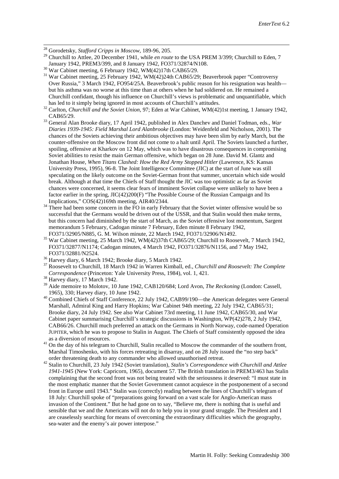28 Gorodetsky, *Stafford Cripps in Moscow*, 189-96, 205.

<sup>29</sup> Churchill to Attlee, 20 December 1941, while *en route* to the USA PREM 3/399; Churchill to Eden, 7 January 1942, PREM3/399, and 8 January 1942, FO371/32874/N108.

- $\frac{30}{30}$  War Cabinet meeting, 6 February 1942, WM(42)17th CAB65/29.<br><sup>31</sup> War Cabinet meeting, 25 February 1942, WM(42)24th CAB65/29; Beaverbrook paper "Controversy" Over Russia," 3 March 1942, FO954/25A. Beaverbrook's public reason for his resignation was health but his asthma was no worse at this time than at others when he had soldiered on. He remained a Churchill confidant, though his influence on Churchill's views is problematic and unquantifiable, which
- <sup>32</sup> Carlton, *Churchill and the Soviet Union*, 97; Eden at War Cabinet, WM(42)1st meeting, 1 January 1942,
- CAB65/29. <sup>33</sup> General Alan Brooke diary, 17 April 1942, published in Alex Danchev and Daniel Todman, eds., *War Diaries 1939-1945: Field Marshal Lord Alanbrooke* (London: Weidenfeld and Nicholson, 2001). The chances of the Soviets achieving their ambitious objectives may have been slim by early March, but the counter-offensive on the Moscow front did not come to a halt until April. The Soviets launched a further, spoiling, offensive at Kharkov on 12 May, which was to have disastrous consequences in compromising Soviet abilities to resist the main German offensive, which began on 28 June. David M. Glantz and Jonathan House, *When Titans Clashed: How the Red Army Stopped Hitler* (Lawrence, KS: Kansas University Press, 1995), 96-8. The Joint Intelligence Committee (JIC) at the start of June was still speculating on the likely outcome on the Soviet-German front that summer, uncertain which side would break. Although at that time the Chiefs of Staff thought the JIC was too optimistic as far as Soviet chances were concerned, it seems clear fears of imminent Soviet collapse were unlikely to have been a factor earlier in the spring, JIC(42)200(F) "The Possible Course of the Russian Campaign and Its
- Implications,"  $\text{COS}(42)169$ th meeting, AIR40/2344.<br><sup>34</sup> There had been some concern in the FO in early February that the Soviet winter offensive would be so successful that the Germans would be driven out of the USSR, and that Stalin would then make terms, but this concern had diminished by the start of March, as the Soviet offensive lost momentum, Sargent memorandum 5 February, Cadogan minute 7 February, Eden minute 8 February 1942, FO371/32906/N1492.
- <sup>35</sup> War Cabinet meeting, 25 March 1942, WM(42)37th CAB65/29; Churchill to Roosevelt, 7 March 1942, FO371/32877/N1174; Cadogan minutes, 4 March 1942, FO371/32876/N1156, and 7 May 1942,
- 
- FO371/32881/N2524. <sup>36</sup> Harvey diary, 6 March 1942; Brooke diary, 5 March 1942. <sup>37</sup> Roosevelt to Churchill, 18 March 1942 in Warren Kimball, ed., *Churchill and Roosevelt: The Complete Correspondence* (Princeton: Yale University Press, 1984), vol. 1, 421. <sup>38</sup> Harvey diary, 17 March 1942.
- 
- <sup>39</sup> Aide memoire to Molotov, 10 June 1942, CAB120/684; Lord Avon, *The Reckoning* (London: Cassell,
- <span id="page-33-0"></span>1965), 330; Harvey diary, 10 June 1942. <sup>40</sup> Combined Chiefs of Staff Conference, 22 July 1942, CAB99/190—the American delegates were General Marshall, Admiral King and Harry Hopkins; War Cabinet 94th meeting, 22 July 1942, CAB65/31; Brooke diary, 24 July 1942. See also War Cabinet 73rd meeting, 11 June 1942, CAB65/30, and War Cabinet paper summarising Churchill's strategic discussions in Washington, WP(42)278, 2 July 1942, CAB66/26. Churchill much preferred an attack on the Germans in North Norway, code-named Operation JUPITER, which he was to propose to Stalin in August. The Chiefs of Staff consistently opposed the idea
- <span id="page-33-1"></span> $41$  On the day of his telegram to Churchill, Stalin recalled to Moscow the commander of the southern front, Marshal Timoshenko, with his forces retreating in disarray, and on 28 July issued the "no step back" order threatening death to any commander who allowed unauthorised retreat.
- <span id="page-33-2"></span>order threatening death to any commander who allowed uncertainty *securements* of the Churchill and Attlee Stalin to Churchill, 23 July 1942 (Soviet translation), *Stalin's Correspondence with Churchill and Attlee 1941-1945* (New York: Capricorn, 1965), document 57. The British translation in PREM3/463 has Stalin complaining that the second front was not being treated with the seriousness it deserved: "I must state in the most emphatic manner that the Soviet Government cannot acquiesce in the postponement of a second front in Europe until 1943." Stalin was (correctly) reading between the lines of Churchill's telegram of 18 July: Churchill spoke of "preparations going forward on a vast scale for Anglo-American mass invasion of the Continent." But he had gone on to say, "Believe me, there is nothing that is useful and sensible that we and the Americans will not do to help you in your grand struggle. The President and I are ceaselessly searching for means of overcoming the extraordinary difficulties which the geography, sea-water and the enemy's air power interpose."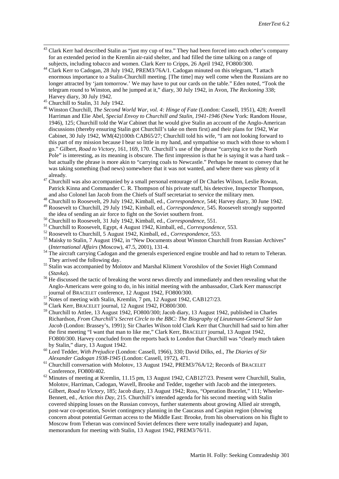- <span id="page-34-3"></span><sup>43</sup> Clark Kerr had described Stalin as "just my cup of tea." They had been forced into each other's company for an extended period in the Kremlin air-raid shelter, and had filled the time talking on a range of
- <span id="page-34-4"></span>subjects, including tobacco and women. Clark Kerr to Cripps, 26 April 1942, FO800/300. <sup>44</sup> Clark Kerr to Cadogan, 28 July 1942, PREM3/76A/1. Cadogan minuted on this telegram, "I attach enormous importance to a Stalin-Churchill meeting. [The time] may well come when the Russians are no longer attracted by 'jam tomorrow.' We may have to put our cards on the table." Eden noted, "Took the telegram round to Winston, and he jumped at it," diary, 30 July 1942, in Avon, *The Reckoning* 338;
- 
- <span id="page-34-5"></span>Harvey diary, 30 July 1942. 45 Churchill to Stalin, 31 July 1942. <sup>46</sup> Winston Churchill, *The Second World War, vol. 4: Hinge of Fate* (London: Cassell, 1951), 428; Averell Harriman and Elie Abel, *Special Envoy to Churchill and Stalin, 1941-1946* (New York: Random House, 1946), 125; Churchill told the War Cabinet that he would give Stalin an account of the Anglo-American discussions (thereby ensuring Stalin got Churchill's take on them first) and their plans for 1942, War Cabinet, 30 July 1942, WM(42)100th CAB65/27; Churchill told his wife, "I am not looking forward to this part of my mission because I bear so little in my hand, and sympathise so much with those to whom I go." Gilbert, *Road to Victory*, 161, 169, 170. Churchill's use of the phrase "carrying ice to the North Pole" is interesting, as its meaning is obscure. The first impression is that he is saying it was a hard task – but actually the phrase is more akin to "carrying coals to Newcastle." Perhaps he meant to convey that he was taking something (bad news) somewhere that it was not wanted, and where there was plenty of it

already.<br><sup>47</sup> Churchill was also accompanied by a small personal entourage of Dr Charles Wilson, Leslie Rowan, Patrick Kinna and Commander C. R. Thompson of his private staff, his detective, Inspector Thompson,

- and also Colonel Ian Jacob from the Chiefs of Staff secretariat to service the military men. <sup>48</sup> Churchill to Roosevelt, 29 July 1942, Kimball, ed., *Correspondence*, 544; Harvey diary, 30 June 1942.
- <sup>49</sup> Roosevelt to Churchill, 29 July 1942, Kimball, ed., *Correspondence*, 545. Roosevelt strongly supported the idea of sending an air force to fight on the Soviet southern front.
- 
- 
- 
- <sup>50</sup> Churchill to Roosevelt, 31 July 1942, Kimball, ed., *Correspondence*, 551.<br>
<sup>51</sup> Churchill to Roosevelt, Egypt, 4 August 1942, Kimball, ed., *Correspondence*, 553.<br>
<sup>52</sup> Roosevelt to Churchill, 5 August 1942, Kimball,
- <sup>54</sup> The aircraft carrying Cadogan and the generals experienced engine trouble and had to return to Teheran.
- They arrived the following day. <sup>55</sup> Stalin was accompanied by Molotov and Marshal Kliment Voroshilov of the Soviet High Command
- (*Stavka*). <sup>56</sup> He discussed the tactic of breaking the worst news directly and immediately and then revealing what the Anglo-Americans were going to do, in his initial meeting with the ambassador, Clark Kerr manuscript
- $^{57}$  Notes of meeting with Stalin, Kremlin, 7 pm, 12 August 1942, CAB127/23.<br> $^{58}$  Clark Kerr, BRACELET journal, 12 August 1942, FO800/300.
- 
- <sup>59</sup> Churchill to Attlee, 13 August 1942, FO800/300; Jacob diary, 13 August 1942, published in Charles Richardson, *From Churchill's Secret Circle to the BBC: The Biography of Lieutenant-General Sir Ian Jacob* (London: Brassey's, 1991); Sir Charles Wilson told Clark Kerr that Churchill had said to him after the first meeting "I want that man to like me," Clark Kerr, BRACELET journal, 13 August 1942, FO800/300. Harvey concluded from the reports back to London that Churchill was "clearly much taken
- by Stalin," diary, 13 August 1942.<br>Lord Tedder, *With Prejudice* (London: Cassell, 1966), 330; David Dilks, ed., *The Diaries of Sir Alexander Cadogan 1938-1945* (London: Cassell, 1972), 471.
- Churchill conversation with Molotov, 13 August 1942, PREM3/76A/12; Records of BRACELET Conference, FO800/402.
- <span id="page-34-2"></span><span id="page-34-1"></span><span id="page-34-0"></span> $^{62}$  Minutes of meeting at Kremlin, 11.15 pm, 13 August 1942, CAB127/23. Present were Churchill, Stalin, Molotov, Harriman, Cadogan, Wavell, Brooke and Tedder, together with Jacob and the interpreters. Gilbert, *Road to Victory,* 185; Jacob diary, 13 August 1942; Ross, "Operation Bracelet," 111; Wheeler-Bennett, ed., *Action this Day*, 215. Churchill's intended agenda for his second meeting with Stalin covered shipping losses on the Russian convoys, further statements about growing Allied air strength, post-war co-operation, Soviet contingency planning in the Caucasus and Caspian region (showing concern about potential German access to the Middle East: Brooke, from his observations on his flight to Moscow from Teheran was convinced Soviet defences there were totally inadequate) and Japan, memorandum for meeting with Stalin, 13 August 1942, PREM3/76/11.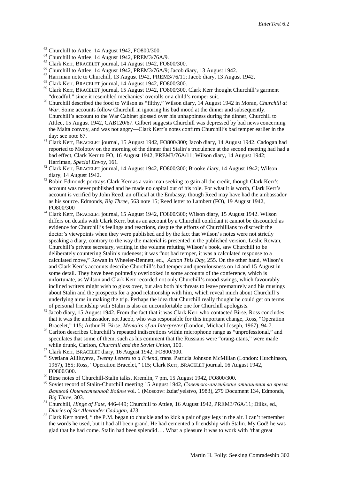- 
- 
- 
- 
- 
- 
- <sup>63</sup> Churchill to Attlee, 14 August 1942, FO800/300.<br>
<sup>64</sup> Churchill to Attlee, 14 August 1942, PREM3/76A/9.<br>
<sup>65</sup> Clark Kerr, BRACELET journal, 14 August 1942, FO800/300.<br>
<sup>66</sup> Churchill to Attlee, 14 August 1942, PREM3/
- <span id="page-35-0"></span><sup>70</sup> Churchill described the food to Wilson as "filthy," Wilson diary, 14 August 1942 in Moran, *Churchill at War*. Some accounts follow Churchill in ignoring his bad mood at the dinner and subsequently. Churchill's account to the War Cabinet glossed over his unhappiness during the dinner, Churchill to Attlee, 15 August 1942, CAB120/67. Gilbert suggests Churchill was depressed by bad news concerning the Malta convoy, and was not angry—Clark Kerr's notes confirm Churchill's bad temper earlier in the
- <span id="page-35-2"></span><span id="page-35-1"></span>day: see note 67.<br><sup>71</sup> Clark Kerr, BRACELET journal, 15 August 1942, FO800/300; Jacob diary, 14 August 1942, Cadogan had reported to Molotov on the morning of the dinner that Stalin's truculence at the second meeting had had a bad effect, Clark Kerr to FO, 16 August 1942, PREM3/76A/11; Wilson diary, 14 August 1942;
- Harriman, *Special Envoy*, 161. <sup>72</sup> Clark Kerr, BRACELET journal, 14 August 1942, FO800/300; Brooke diary, 14 August 1942; Wilson
- diary, 14 August 1942.<br><sup>73</sup> Robin Edmonds portrays Clark Kerr as a vain man seeking to gain all the credit, though Clark Kerr's account was never published and he made no capital out of his role. For what it is worth, Clark Kerr's account is verified by John Reed, an official at the Embassy, though Reed may have had the ambassador as his source. Edmonds, *Big Three*, 563 note 15; Reed letter to Lambert (FO), 19 August 1942,
- FO800/300 <sup>74</sup> Clark Kerr, BRACELET journal, 15 August 1942, FO800/300; Wilson diary, 15 August 1942. Wilson differs on details with Clark Kerr, but as an account by a Churchill confidant it cannot be discounted as evidence for Churchill's feelings and reactions, despite the efforts of Churchillians to discredit the doctor's viewpoints when they were published and by the fact that Wilson's notes were not strictly speaking a diary, contrary to the way the material is presented in the published version. Leslie Rowan, Churchill's private secretary, writing in the volume refuting Wilson's book, saw Churchill to be deliberately countering Stalin's rudeness; it was "not bad temper, it was a calculated response to a calculated move," Rowan in Wheeler-Bennett, ed., *Action This Day*, 255. On the other hand, Wilson's and Clark Kerr's accounts describe Churchill's bad temper and querulousness on 14 and 15 August in some detail. They have been pointedly overlooked in some accounts of the conference, which is unfortunate, as Wilson and Clark Kerr recorded not only Churchill's mood-swings, which favourably inclined writers might wish to gloss over, but also both his threats to leave prematurely and his musings about Stalin and the prospects for a good relationship with him, which reveal much about Churchill's underlying aims in making the trip. Perhaps the idea that Churchill really thought he could get on terms
- of personal friendship with Stalin is also an uncomfortable one for Churchill apologists.  $^{75}$  Jacob diary, 15 August 1942. From the fact that it was Clark Kerr who contacted Birse, Ross concludes that it was the ambassador, not Jacob, who was responsible for this important change, Ross, "Operation
- Bracelet," 115; Arthur H. Birse, *Memoirs of an Interpreter* (London, Michael Joseph, 1967), 94-7.<br><sup>76</sup> Carlton describes Churchill's repeated indiscretions within microphone range as "unprofessional," and speculates that some of them, such as his comment that the Russians were "orang-utans," were made while drunk, Carlton, Churchill and the Soviet Union, 100.
- 
- 77 Clark Kerr, BRACELET diary, 16 August 1942, FO800/300.<br><sup>78</sup> Svetlana Alliluyeva, *Twenty Letters to a Friend*, trans. Patricia Johnson McMillan (London: Hutchinson, 1967), 185; Ross, "Operation Bracelet," 115; Clark Kerr, BRACELET journal, 16 August 1942,
- 
- FO800/300. <sup>79</sup> Birse notes of Churchill-Stalin talks, Kremlin, 7 pm, 15 August 1942, FO800/300. <sup>80</sup> Soviet record of Stalin-Churchill meeting 15 August 1942, *Советско-английские отношения во время Великой Отечественной Войны* vol. 1 (Moscow: Izdat'yelstvo, 1983), 279 Document 134, Edmonds,
- *Big Three*, 303.<br><sup>81</sup> Churchill, *Hinge of Fate*, 446-449; Churchill to Attlee, 16 August 1942, PREM3/76A/11; Dilks, ed., *Diaries of Sir Alexander Cadogan*, 473.
- <sup>82</sup> Clark Kerr noted, " the P.M. began to chuckle and to kick a pair of gay legs in the air. I can't remember the words he used, but it had all been grand. He had cemented a friendship with Stalin. My God! he was glad that he had come. Stalin had been splendid…. What a pleasure it was to work with 'that great